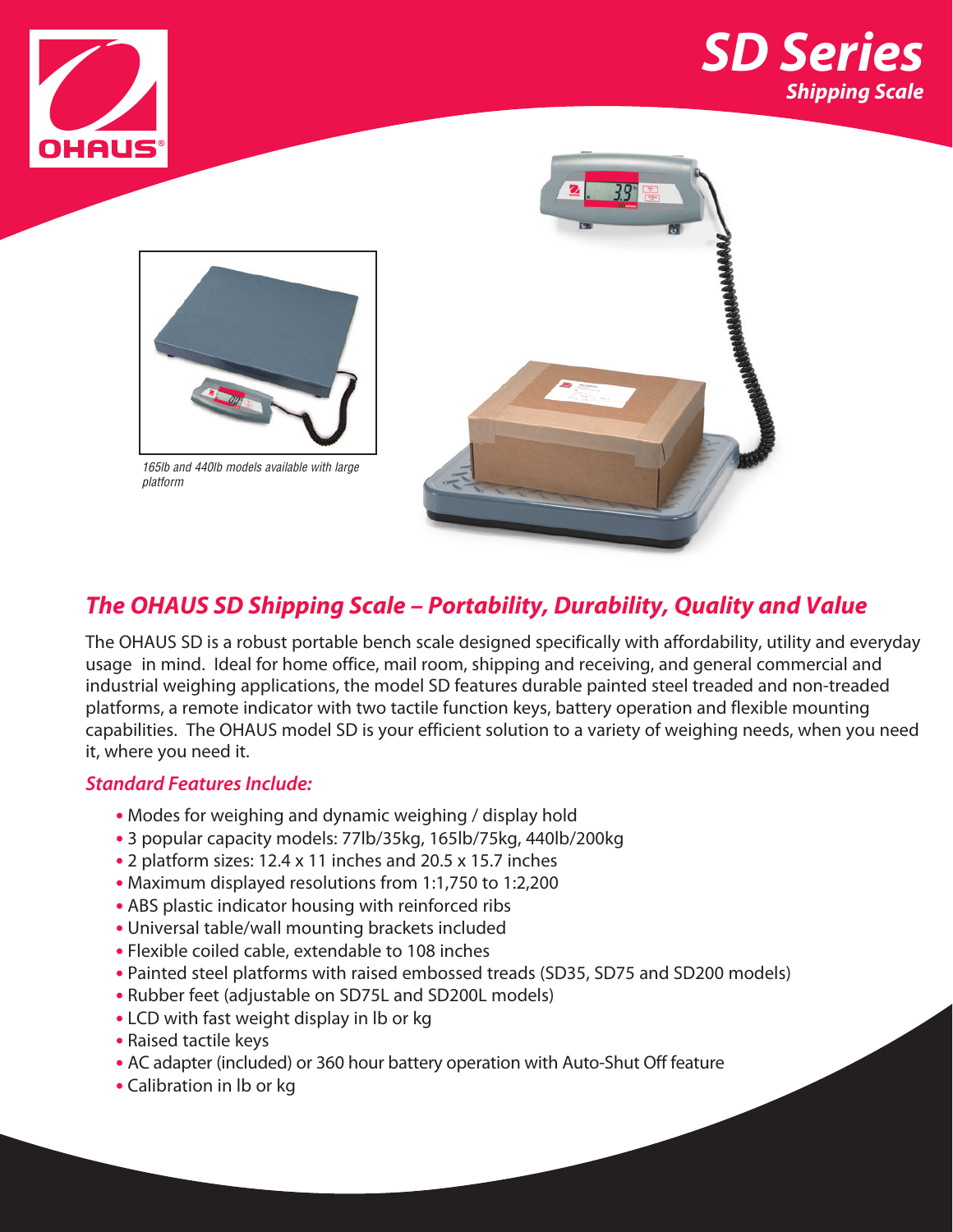





*165lb and 440lb models available with large platform*



### *The OHAUS SD Shipping Scale – Portability, Durability, Quality and Value*

The OHAUS SD is a robust portable bench scale designed specifically with affordability, utility and everyday usage in mind. Ideal for home office, mail room, shipping and receiving, and general commercial and industrial weighing applications, the model SD features durable painted steel treaded and non-treaded platforms, a remote indicator with two tactile function keys, battery operation and flexible mounting capabilities. The OHAUS model SD is your efficient solution to a variety of weighing needs, when you need it, where you need it.

### *Standard Features Include:*

- **•** Modes for weighing and dynamic weighing / display hold
- **•** 3 popular capacity models: 77lb/35kg, 165lb/75kg, 440lb/200kg
- **•** 2 platform sizes: 12.4 x 11 inches and 20.5 x 15.7 inches
- **•** Maximum displayed resolutions from 1:1,750 to 1:2,200
- **•** ABS plastic indicator housing with reinforced ribs
- **•** Universal table/wall mounting brackets included
- **•** Flexible coiled cable, extendable to 108 inches
- **•** Painted steel platforms with raised embossed treads (SD35, SD75 and SD200 models)
- **•** Rubber feet (adjustable on SD75L and SD200L models)
- **•** LCD with fast weight display in lb or kg
- **•** Raised tactile keys
- **•** AC adapter (included) or 360 hour battery operation with Auto-Shut Off feature
- **•** Calibration in lb or kg